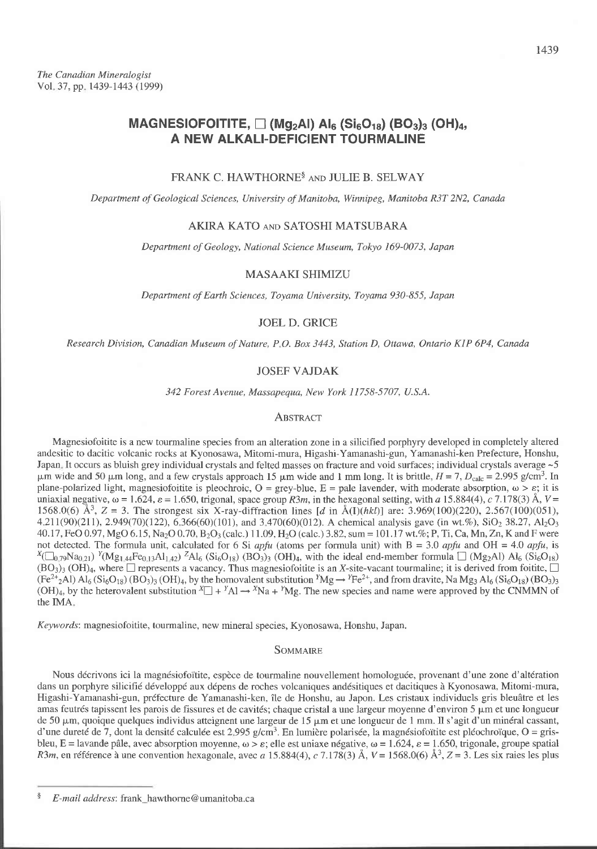# MAGNESIOFOITITE,  $\Box$  (Mg<sub>2</sub>AI) AI<sub>6</sub> (Si<sub>6</sub>O<sub>18</sub>) (BO<sub>3</sub>)<sub>3</sub> (OH)<sub>4</sub>, A NEW ALKALI-DEFICIENT TOURMALINE

## FRANK C. HAWTHORNE<sup>§</sup> AND JULIE B. SELWAY

Department of Geological Sciences, University of Manitoba, Winnipeg, Manitoba R3T 2N2, Canada

## AKIRA KATO AND SATOSHI MATSUBARA

Department of Geology, National Science Museum, Tokyo 169-0073, Japan

## **MASAAKI SHIMIZU**

Department of Earth Sciences, Toyama University, Toyama 930-855, Japan

#### **JOEL D. GRICE**

Research Division, Canadian Museum of Nature, P.O. Box 3443, Station D, Ottawa, Ontario K1P 6P4, Canada

#### **JOSEF VAJDAK**

342 Forest Avenue, Massapequa, New York 11758-5707, U.S.A.

#### **ABSTRACT**

Magnesiofoitite is a new tourmaline species from an alteration zone in a silicified porphyry developed in completely altered andesitic to dacitic volcanic rocks at Kyonosawa, Mitomi-mura, Higashi-Yamanashi-gun, Yamanashi-ken Prefecture, Honshu, Japan. It occurs as bluish grey individual crystals and felted masses on fracture and void surfaces; individual crystals average ~5  $\mu$ m wide and 50  $\mu$ m long, and a few crystals approach 15  $\mu$ m wide and 1 mm long. It is brittle,  $H = 7$ ,  $D_{\text{calc}} = 2.995$  g/cm<sup>3</sup>. In plane-polarized light, magnesiofortite is pleochroic,  $O = \text{grey-blue}$ ,  $E = \text{pole}$  lavender, with moderate absorption,  $\omega > \varepsilon$ ; it is uniaxial negative,  $\omega = 1.624$ ,  $\varepsilon = 1.650$ , trigonal, space group R3m, in the hexagonal setting, with a 15.884(4), c 7.178(3) Å,  $V =$ 1568.0(6)  $\AA^3$ , Z = 3. The strongest six X-ray-diffraction lines [d in  $\AA(1)(hkl)$ ] are: 3.969(100)(220), 2.567(100)(051), 4.211(90)(211), 2.949(70)(122),  $\vec{6}$ ,366(60)(101), and 3.470(60)(012). A chemical analysis gave (in wt.%), SiO<sub>2</sub> 38.27, Al<sub>2</sub>O<sub>3</sub> 40.17, FeO 0.97, MgO 6.15, Na<sub>2</sub>O 0.70, B<sub>2</sub>O<sub>3</sub> (calc.) 11.09, H<sub>2</sub>O (calc.) 3.82, sum = 101.17 wt. %; P, Ti, Ca, Mn, Zn, K and F were not detected. The formula unit, calculated for 6 Si appu (atoms per formula unit) with  $B = 3.0$  appu and OH = 4.0 appu, is  $X(\Box_{0.79}Na_{0.21})$   $Y(Mg_{1.44}Fe_{0.13}Al_{1.42})$   $ZAl_6(Si_6O_{18})$  (BO<sub>3</sub>)<sub>3</sub> (OH)<sub>4</sub>, with the ideal end-member formula  $\Box$  (Mg<sub>2</sub>Al) Al<sub>6</sub> (Si<sub>6</sub>O<sub>18</sub>)  $(BO<sub>3</sub>)<sub>3</sub>$  (OH)<sub>4</sub>, where  $\Box$  represents a vacancy. Thus magnesiofoitite is an X-site-vacant tourmaline; it is derived from foitite,  $\Box$  $(Fe^{2+}2Al)$  Al<sub>6</sub> (Si<sub>6</sub>O<sub>18</sub>) (BO<sub>3</sub>)<sub>3</sub> (OH)<sub>4</sub>, by the homovalent substitution <sup>Y</sup>Mg  $\rightarrow$  <sup>Y</sup>Fe<sup>2+</sup>, and from dravite, Na Mg<sub>3</sub> Al<sub>6</sub> (Si<sub>6</sub>O<sub>18</sub>) (BO<sub>3</sub>)<sub>3</sub> (OH)<sub>4</sub>, by the heterovalent substitution  ${}^X\square + {}^Y\text{Al} \rightarrow {}^X\text{Na} + {}^Y\text{Mg}$ . The new species and name were approved by the CNMMN of the IMA.

Keywords: magnesiofoitite, tourmaline, new mineral species, Kyonosawa, Honshu, Japan.

#### **SOMMAIRE**

Nous décrivons ici la magnésiofoïtite, espèce de tourmaline nouvellement homologuée, provenant d'une zone d'altération dans un porphyre silicifié développé aux dépens de roches volcaniques andésitiques et dacitiques à Kyonosawa, Mitomi-mura, Higashi-Yamanashi-gun, préfecture de Yamanashi-ken, île de Honshu, au Japon. Les cristaux individuels gris bleuâtre et les amas feutrés tapissent les parois de fissures et de cavités; chaque cristal a une largeur moyenne d'environ 5 µm et une longueur de 50 µm, quoique quelques individus atteignent une largeur de 15 µm et une longueur de 1 mm. Il s'agit d'un minéral cassant, d'une dureté de 7, dont la densité calculée est 2.995 g/cm<sup>3</sup>. En lumière polarisée, la magnésiofoïtite est pléochroïque, O = grisbleu, E = lavande pâle, avec absorption moyenne,  $\omega > \varepsilon$ ; elle est uniaxe négative,  $\omega = 1.624$ ,  $\varepsilon = 1.650$ , trigonale, groupe spatial R3m, en référence à une convention hexagonale, avec a 15.884(4), c 7.178(3) Å,  $V = 1568.0(6)$  Å $^3$ ,  $Z = 3$ . Les six raies les plus

1439

 $\hat{\xi}$ E-mail address: frank\_hawthorne@umanitoba.ca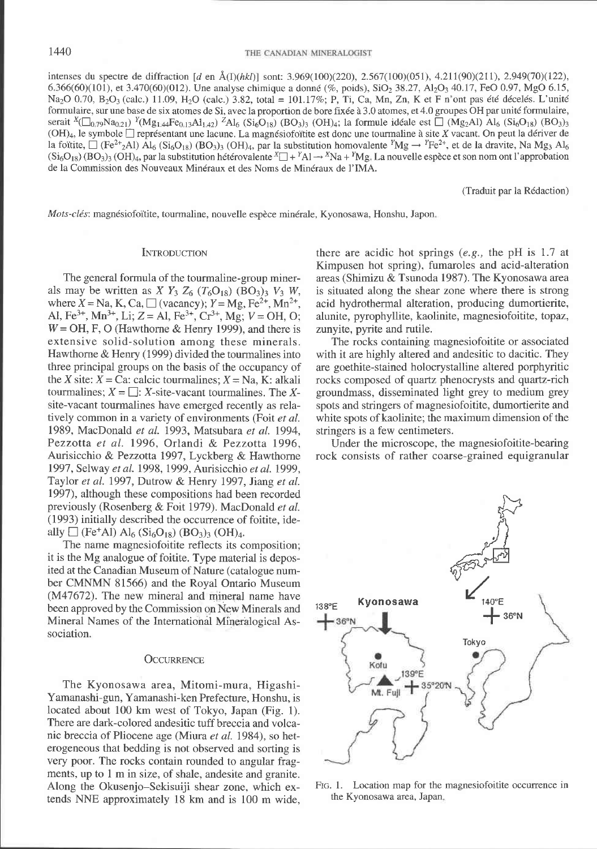intenses du spectre de diffraction  $d$  en  $\hat{A}(I)(\hbar kI)$  sont: 3.969(100)(220), 2.567(100)(051), 4.211(90)(211), 2.949(70)(122), 6,366(60)(101), et 3.470(60)(012). Une analyse chimique a donné (%, poids), SiO<sub>2</sub> 38.27, Al<sub>2</sub>O<sub>3</sub> 40.17, FeO 0.97, MgO 6.15, Na<sub>2</sub>O 0.70, B<sub>2</sub>O<sub>3</sub> (calc.) 11.09, H<sub>2</sub>O (calc.) 3.82, total = 101.17%; P, Ti, Ca, Mn, Zn, K et F n'ont pas été décelés. L'unité formulaire, sur une base de six atomes de Si, avec la proportion de bore fixée à 3.0 atomes, et 4.0 groupes OH par unité formulaire, serait  $x(\Box_{0.79}Na_{0.21}) Y(Mg_{1.44}Fe_{0.13}Al_{1.42}) ZAl_6 (Si_6O_{18}) (BO_3)_3 (OH)_4$ ; la formule idéale est  $\Box$  (Mg2Al)  $Al_6 (Si_6O_{18}) (BO_3)_3$  $(OH)_4$ , le symbole  $\Box$  représentant une lacune. La magnésiofoïtite est donc une tourmaline à site X vacant. On peut la dériver de la foïtite,  $\Box$  (Fe<sup>2+</sup>2Al)  $\overline{Al}_6$  (Si<sub>6</sub>O<sub>18</sub>) (BO<sub>3</sub>)<sub>3</sub> (OH)<sub>4</sub>, par la substitution homovalente <sup>Y</sup>Mg  $\rightarrow$  <sup>Y</sup>Fe<sup>2+</sup>, et de la dravite, Na Mg<sub>3</sub> Al<sub>6</sub>  $(Si<sub>6</sub>O<sub>18</sub>)$  (BO<sub>3</sub>)<sub>3</sub> (OH)<sub>4</sub>, par la substitution hétérovalente  ${}^{\chi}\Box + {}^{\gamma}$ Al  $\rightarrow$  <sup>x</sup>Na + <sup>x</sup>Mg. La nouvelle espèce et son nom ont l'approbation de la Commission des Nouveaux Minéraux et des Noms de Minéraux de l'IMA.

(Traduit par la R6daction)

Mots-clés: magnésiofoïtite, tourmaline, nouvelle espèce minérale, Kyonosawa, Honshu, Japon.

#### **INTRODUCTION**

The general formula of the tourmaline-group minerals may be written as  $X Y_3 Z_6 (T_6 O_{18}) (BO_3)_3 V_3 W$ , where  $X = Na$ , K, Ca,  $\Box$  (vacancy);  $Y = Mg$ , Fe<sup>2+</sup>, Mn<sup>2+</sup>, Al, Fe<sup>3+</sup>, Mn<sup>3+</sup>, Li; Z = Al, Fe<sup>3+</sup>, Cr<sup>3+</sup>, Mg; V = OH, O;  $W = OH$ , F, O (Hawthorne & Henry 1999), and there is extensive solid-solution among these minerals. Hawthorne & Henry (1999) divided the tourmalines into three principal groups on the basis of the occupancy of the X site:  $X = Ca$ : calcic tourmalines:  $X = Na$ . K: alkali tourmalines;  $X = \Box$ : X-site-vacant tourmalines. The Xsite-vacant tourmalines have emerged recently as relatively common in a variety of environments (Foit et al. 1989, MacDonald et al. 1993, Matsubara et al. 1994, Pezzotta et al. 1996, Orlandi &. Pezzotta 1996, Aurisicchio & Pezzotta 1997, Lyckberg & Hawthorne 1997, Selway et al. 1998, 1999, Aurisicchio et al. 1999, Taylor et al. 1997, Dutrow & Henry 1997, Jiang et al. 1997), although these compositions had been recorded previously (Rosenberg & Foit 1979). MacDonald et al. (1993) initially described the occurrence of foitite, ideally  $\Box$  (Fe+Al) Al<sub>6</sub> (Si<sub>6</sub>O<sub>18</sub>) (BO<sub>3</sub>)<sub>3</sub> (OH)<sub>4</sub>.

The name magnesiofoitite reflects its composition; it is the Mg analogue of foitite. Type material is deposited at the Canadian Museum of Nature (catalogue number CMNMN 81566) and the Royal Ontario Museum  $(M47672)$ . The new mineral and mineral name have been approved by the Commission on New Minerals and Mineral Names of the International Mineralogical Association.

#### **OCCURRENCE**

The Kyonosawa area, Mitomi-mura, Higashi-Yamanashi-gun, Yamanashi-ken Prefecture, Honshu, is located about 100 km west of Tokyo, Japan (Fig. 1). There are dark-colored andesitic tuff breccia and volcanic breccia of Pliocene age (Miura et al. 1984), so heterogeneous that bedding is not observed and sorting is very poor. The rocks contain rounded to angular fragments, up to 1 m in size, of shale, andesite and granite. Along the Okusenjo-Sekisuiji shear zone, which extends NNE approximately 18 km and is 100 m wide, there are acidic hot springs (e.g., the pH is 1.7 at Kimpusen hot spring), fumaroles and acid-alteration areas (Shimizu & Tsunoda 1987). The Kyonosawa area is situated along the shear zone where there is strong acid hydrothermal alteration, producing dumortierite, alunite, pyrophyllite, kaolinite, magnesiofoitite, topaz, zunyite, pyrite and rutile.

The rocks containing magnesiofoitite or associated with it are highly altered and andesitic to dacitic. They are goethite-stained holocrystalline altered porphyritic rocks composed of quartz phenocrysts and quartz-rich groundmass, disseminated light grey to medium grey spots and stringers of magnesiofoitite, dumortierite and white spots of kaolinite; the maximum dimension of the stringers is a few centimeters.

Under the microscope, the magnesiofoitite-bearing rock consists of rather coarse-grained equigranular



FIG. 1. Location map for the magnesiofoitite occurrence in the Kyonosawa area, Japan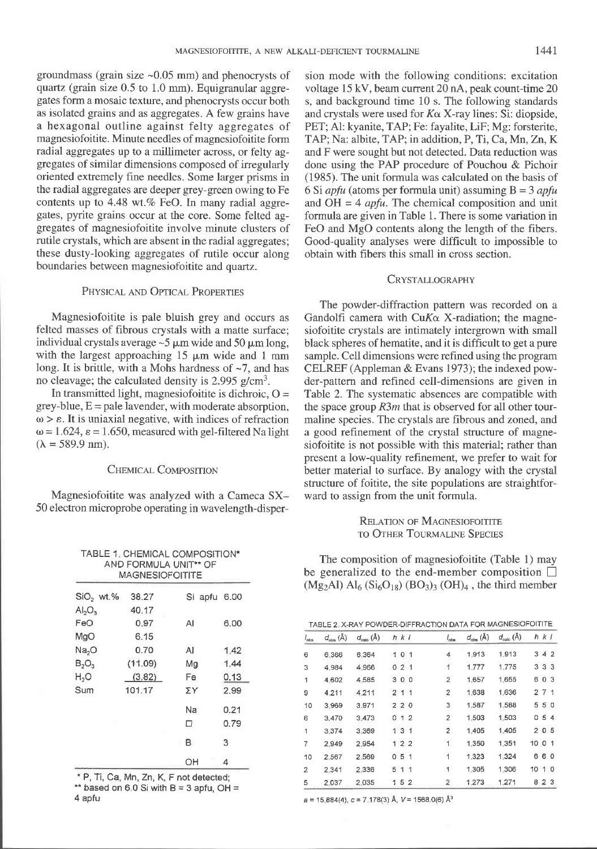groundmass (grain size  $\sim 0.05$  mm) and phenocrysts of quartz (grain size 0.5 to 1.0 mm). Equigranular aggregates form a mosaic texture, and phenocrysts occur both as isolated grains and as aggregates. A few grains have a hexagonal outline against felty aggregates of magnesiofoitite. Minute needles of magnesiofoitite form radial aggregates up to a millimeter across, or felty aggregates of similar dimensions composed of irregularly oriented extremely fine needles. Some larger prisms in the radial aggregates are deeper grey-green owing to Fe contents up to  $4.48$  wt.% FeO. In many radial aggregates, pyrite grains occur at the core. Some felted aggregates of magnesiofoitite involve minute clusters of rutile crystals, which are absent in the radial aggregates; these dusty-looking aggregates of rutile occur along boundaries between magnesiofoitite and quartz.

## PHYSICAL AND OPTICAL PROPERTIES

Magnesiofoitite is pale bluish grey and occurs as felted masses of fibrous crystals with a matte surface; individual crystals average  $\sim$  5  $\mu$ m wide and 50  $\mu$ m long, with the largest approaching  $15 \mu m$  wide and 1 mm long. It is brittle, with a Mohs hardness of  $\sim$ 7, and has no cleavage; the calculated density is  $2.995$  g/cm<sup>3</sup>.

In transmitted light, magnesiofoitite is dichroic,  $O =$  $grey-blue, E = pale layereder, with moderate absorption.$  $\omega > \varepsilon$ . It is uniaxial negative, with indices of refraction  $\omega$  = 1.624,  $\varepsilon$  = 1.650, measured with gel-filtered Na light  $(\lambda = 589.9 \text{ nm}).$ 

#### CHEMICAL COMPOSITION

Magnesiofoitite was analyzed with a Cameca SX-50 electron microprobe operating in wavelength-disper-

TABLE 1. CHEMICAL COMPOSITION\*

sion mode with the following conditions: excitation voltage l5 kV, beam current 20 nA, peak count-time 20 s, and background time 10 s. The following standards and crystals were used for  $K\alpha$  X-ray lines: Si: diopside, PET; A1: kyanite, TAP; Fe: fayalite, LiF; Mg: forsterite, TAP; Na: albite, TAP; in addition, P, Ti, Ca, Mn, Zn, K and F were sought but not detected. Data reduction was done using the PAP procedure of Pouchou & Pichoir (1985). The unit formula was calculated on the basis of 6 Si *apfu* (atoms per formula unit) assuming  $B = 3$  *apfu* and  $OH = 4$  *apfu*. The chemical composition and unit formula are given in Table 1. There is some variation in FeO and MgO contents along the length of the fibers. Good-quality analyses were difficult to impossible to obtain with fibers this small in cross section.

#### CRYSTALLOGRAPHY

The powder-diffraction pattern was recorded on a Gandolfi camera with  $CuK\alpha$  X-radiation; the magnesiofoitite crystals are intimately intergrown with small black spheres of hematite, and it is diffrcult to get a pure sample. Cell dimensions were refined using the program CELREF (Appleman & Evans 1973); the indexed powder-pattern and refined cell-dimensions are given in Table 2. The systematic absences are compatible with the space group  $R3m$  that is observed for all other tourmaline species. The crystals are fibrous and zoned, and a good refinement of the crystal structure of magnesiofoitite is not possible with this material; rather than present a low-quality refinement, we prefer to wait for better material to surface. By analogy with the crystal structure of foitite, the site populations are straightforward to assign from the unit formula.

> RELATION OF MAGNESIOFOITITE TO OTHER TOURMALINE SPECIES

The composition of magnesiofoitite (Table l) may be generalized to the end-member composition  $\Box$  $(Mg_2Al) Al_6(Si_6O_{18}) (BO_3)_3 (OH)_4$ , the third member

| TABLE 2. X-RAY POWDER-DIFFRACTION DATA FOR MAGNESIOFOITITE |                            |                             |   |             |  |                |                     |                             |        |             |  |
|------------------------------------------------------------|----------------------------|-----------------------------|---|-------------|--|----------------|---------------------|-----------------------------|--------|-------------|--|
| $l_{\rm obs}$                                              | $d_{\text{obs}}(\text{Å})$ | $d_{\text{calc}}(\text{Å})$ |   | $h$ $k$ $l$ |  | $l_{\rm obs}$  | $d_{obs}(\text{Å})$ | $d_{\text{calc}}(\text{Å})$ |        | $h$ $k$ $l$ |  |
| 6                                                          | 6.366                      | 6.364                       |   | 1 0 1       |  | 4              | 1913                | 1.913                       |        | 342         |  |
| 3                                                          | 4.984                      | 4.966                       |   | 021         |  | 1              | 1.777               | 1.775                       |        | 333         |  |
| 1                                                          | 4.602                      | 4.585                       |   | 300         |  | $\overline{2}$ | 1.657               | 1.655                       |        | 603         |  |
| 9                                                          | 4.211                      | 4.211                       |   | 211         |  | 2              | 1.638               | 1.636                       |        | 271         |  |
| 10                                                         | 3.969                      | 3.971                       |   | 220         |  | 3              | 1.587               | 1.588                       |        | 550         |  |
| 6                                                          | 3.470                      | 3.473                       | 0 | 12          |  | 2              | 1.503               | 1.503                       |        | 054         |  |
| 1                                                          | 3.374                      | 3.369                       |   | 131         |  | $\overline{2}$ | 1.405               | 1.405                       |        | 205         |  |
| 7                                                          | 2.949                      | 2.954                       |   | 122         |  | 1              | 1.350               | 1.351                       | 10 0 1 |             |  |
| 10                                                         | 2.567                      | 2.569                       |   | 051         |  | 1              | 1.323               | 1.324                       |        | 660         |  |
| 2                                                          | 2.341                      | 2.336                       |   | 5 1 1       |  | 1              | 1.305               | 1.306                       | 10 1 0 |             |  |
| 5                                                          | 2.037                      | 2.035                       |   | 152         |  | 2              | 1.273               | 1.271                       | 8      | 23          |  |

4 apfu a = 15.884(4), c = 7.178(3) Å, V = 1568.0(6) Å<sup>3</sup>

| AND FORMULA UNIT** OF<br><b>MAGNESIOFOITITE</b> |       |    |              |  |  |  |  |  |
|-------------------------------------------------|-------|----|--------------|--|--|--|--|--|
| $SiO2$ wt.%                                     | 38.27 |    | Si apfu 6.00 |  |  |  |  |  |
| AI <sub>2</sub> O <sub>3</sub>                  | 40.17 |    |              |  |  |  |  |  |
| FeO                                             | 0.97  | Al | 6.00         |  |  |  |  |  |
| MgO                                             | 6.15  |    |              |  |  |  |  |  |
| Na <sub>2</sub> O                               | 0.70  | Al | 1.42         |  |  |  |  |  |

Mg

Fe

Z Y Na

1.44  $0.13$ 2.99  $0.21$ 

|                                         | <b>Nd</b><br>□ | U.Z I<br>0.79 |
|-----------------------------------------|----------------|---------------|
|                                         | R              | з             |
|                                         | OH             |               |
| * P, Ti, Ca, Mn, Zn, K, F not detected; |                |               |

 $(11.09)$  $(3.82)$ 101.17

\*\* based on 6.0 Si with  $B = 3$  apfu, OH =

 $B_2O_3$  $H<sub>2</sub>O$ Sum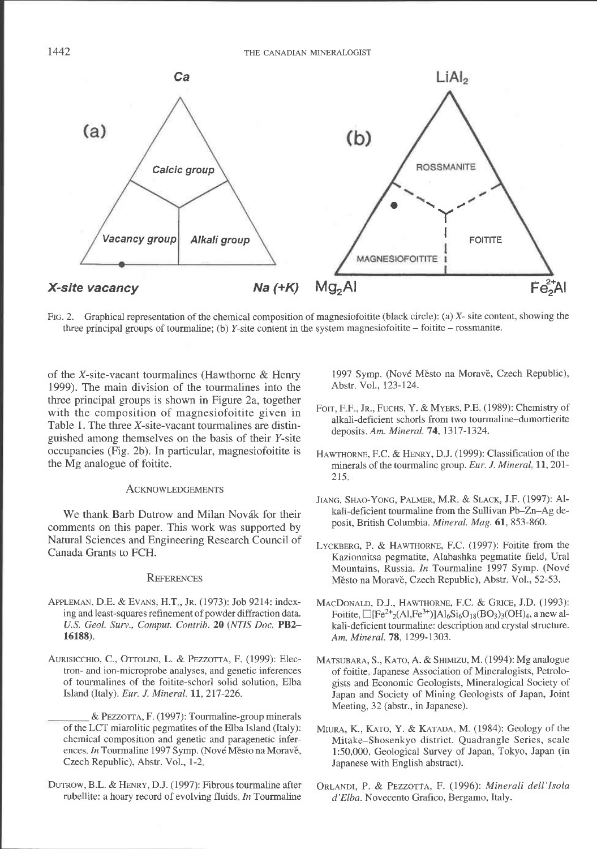

Ftg. 2. Graphical representation of the chemical composition of magnesiofoitite (black circle): (a) X- site content, showing the three principal groups of tourmaline; (b) Y-site content in the system magnesiofoitite – foitite – rossmanite.

of the X-site-vacant tourmalines (Hawthorne & Henry 1999). The main division of the tourmalines into the three principal groups is shown in Figure 2a, together with the composition of magnesiofoitite given in Table 1. The three  $X$ -site-vacant tourmalines are distinguished among themselves on the basis of their Y-site occupancies (Fig. 2b). In particular, magnesiofoitite is the Mg analogue of foitite.

#### **ACKNOWLEDGEMENTS**

We thank Barb Dutrow and Milan Novák for their comments on this paper. This work was supported by Natural Sciences and Engineering Research Council of Canada Grants to FCH.

#### **REFERENCES**

- APPLEMAN, D.E. & EVANS, H.T., Jr. (1973): Job 9214: indexing and least-squares refinement of powder diffraction data. U.S. Geol. Surv., Comput. Contrib.20 (NTIS Doc. PB2- 16188).
- AURISICCHIO, C., OTTOLINI, L. & PEZZOTTA, F. (1999): Electron- and ion-microprobe analyses, and genetic inferences of tourmalines of the foitite-schorl solid solution, Elba Island (Italy). Eur. J. Mineral. 11, 217-226.
	- & PEZZOTTA, F. (1997): Tourmaline-group minerals of the LCT miarolitic pegmatites of the Elba Island (Italy): chemical composition and genetic and paragenetic inferences. In Tourmaline 1997 Symp. (Nové Město na Moravě, Czech Republic), Abstr. Vol., l-2
- DUTROW, B.L. & HENRY, D.J. (1997): Fibrous tourmaline after rubellite: a hoary record of evolving fluids. In Tourmaline

1997 Symp. (Nové Město na Moravě, Czech Republic), Abstr. Vol., 123-124.

- FOIT, F.F., JR., FUCHS, Y. & MYERS, P.E. (1989): Chemistry of alkali-deficient schorls from two tourmaline-dumortierite deposits. Am. Mineral. 74, 1317-1324.
- HAWTHORNE, F.C. & HENRY, D.J. (1999): Classification of the minerals of the tourmaline group. Eur. J. Mineral, 11, 201- $215.$
- JIANG, SHAO-YONG, PALMER, M.R. & SLACK, J.F. (1997): Alkali-deficient tourmaline from the Sullivan Pb-Zn-Ag deposit, British Columbia. Mineral. Mag. 61,853-860.
- LYCKBERG, P. & HAWTHORNE, F.C. (1997): Foitite from the Kazionnitsa pegmatite, Alabashka pegmatite field, Ural Mountains, Russia. In Tourmaline 1997 Symp. (Nové Město na Moravě, Czech Republic), Abstr. Vol., 52-53.
- MACDONALD, D.J., HAWTHORNE, F.C. & GRICE, J.D. (1993): Foitite,  $\Box$ [Fe<sup>2+</sup><sub>2</sub>(Al,Fe<sup>3+</sup>)]Al<sub>6</sub>Si<sub>6</sub>O<sub>18</sub>(BO<sub>3</sub>)<sub>3</sub>(OH)<sub>4</sub>, a new alkali-deficient tourmaline: description and crystal structure. Am. Mineral. 78, 1299-1303.
- MATSUBARA, S., KATO, A. & SHIMIZU, M. (1994): Mg analogue of foitite Japanese Association of Mineralogists, Petrologists and Economic Geologists, Mineralogical Society of Japan and Society of Mining Geologists of Japan, Joint Meeting, 32 (abstr., in Japanese).
- MIURA, K., KATO, Y. & KATADA, M. (1984): Geology of the Mitake-Shosenkyo district. Quadrangle Series, scale l:50,000, Geological Survey of Japan, Tokyo, Japan (in Japanese with English abstract).
- ORLANDI, P. & PEZZOTTA, F. (1996): Minerali dell'Isola d' Elba. Novecento Grafico, Bergamo, Italy.